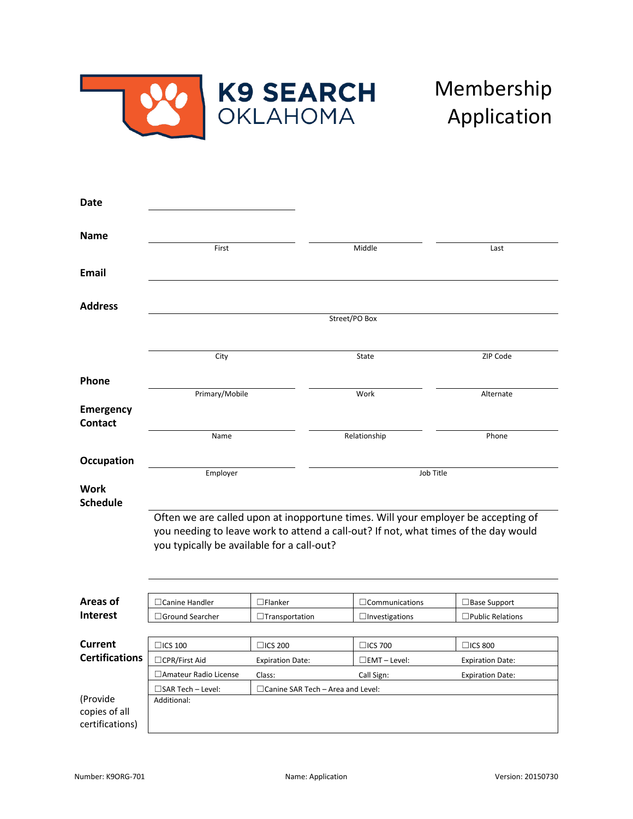

## Membership Application

| Date                                         |                                                                                                                                                                                                                        |                                                     |                                                        |                                                                      |  |
|----------------------------------------------|------------------------------------------------------------------------------------------------------------------------------------------------------------------------------------------------------------------------|-----------------------------------------------------|--------------------------------------------------------|----------------------------------------------------------------------|--|
| <b>Name</b>                                  | First                                                                                                                                                                                                                  |                                                     | Middle                                                 | Last                                                                 |  |
| <b>Email</b>                                 |                                                                                                                                                                                                                        |                                                     |                                                        |                                                                      |  |
| <b>Address</b>                               | Street/PO Box                                                                                                                                                                                                          |                                                     |                                                        |                                                                      |  |
|                                              | City                                                                                                                                                                                                                   |                                                     | State                                                  | ZIP Code                                                             |  |
| Phone                                        | Primary/Mobile                                                                                                                                                                                                         |                                                     | Work                                                   | Alternate                                                            |  |
| Emergency<br><b>Contact</b>                  | Name                                                                                                                                                                                                                   |                                                     | Relationship                                           | Phone                                                                |  |
| Occupation                                   | Employer                                                                                                                                                                                                               |                                                     | Job Title                                              |                                                                      |  |
| <b>Work</b><br><b>Schedule</b>               |                                                                                                                                                                                                                        |                                                     |                                                        |                                                                      |  |
|                                              | Often we are called upon at inopportune times. Will your employer be accepting of<br>you needing to leave work to attend a call-out? If not, what times of the day would<br>you typically be available for a call-out? |                                                     |                                                        |                                                                      |  |
| Areas of                                     | □ Canine Handler                                                                                                                                                                                                       | $\Box$ Flanker                                      | $\Box$ Communications                                  | □ Base Support                                                       |  |
| <b>Interest</b>                              | □Ground Searcher                                                                                                                                                                                                       | $\Box$ Transportation                               | $\Box$ Investigations                                  | $\Box$ Public Relations                                              |  |
| <b>Current</b><br><b>Certifications</b>      | $\Box$ ICS 100<br>□CPR/First Aid<br>□ Amateur Radio License                                                                                                                                                            | $\Box$ ICS 200<br><b>Expiration Date:</b><br>Class: | $\Box$ ICS 700<br>$\square$ EMT – Level:<br>Call Sign: | $\Box$ ICS 800<br><b>Expiration Date:</b><br><b>Expiration Date:</b> |  |
| (Provide<br>copies of all<br>certifications) | $\square$ SAR Tech – Level:<br>Additional:                                                                                                                                                                             | $\Box$ Canine SAR Tech – Area and Level:            |                                                        |                                                                      |  |